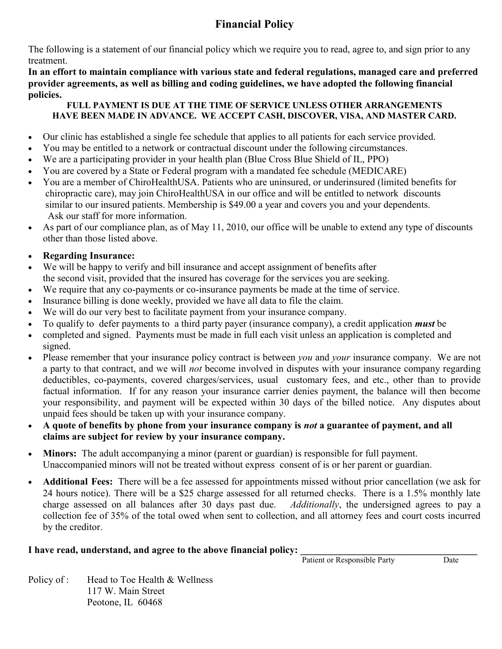# **Financial Policy**

The following is a statement of our financial policy which we require you to read, agree to, and sign prior to any treatment.

**In an effort to maintain compliance with various state and federal regulations, managed care and preferred provider agreements, as well as billing and coding guidelines, we have adopted the following financial policies.** 

#### **FULL PAYMENT IS DUE AT THE TIME OF SERVICE UNLESS OTHER ARRANGEMENTS HAVE BEEN MADE IN ADVANCE. WE ACCEPT CASH, DISCOVER, VISA, AND MASTER CARD.**

- Our clinic has established a single fee schedule that applies to all patients for each service provided.
- You may be entitled to a network or contractual discount under the following circumstances.
- We are a participating provider in your health plan (Blue Cross Blue Shield of IL, PPO)
- You are covered by a State or Federal program with a mandated fee schedule (MEDICARE)
- You are a member of ChiroHealthUSA. Patients who are uninsured, or underinsured (limited benefits for chiropractic care), may join ChiroHealthUSA in our office and will be entitled to network discounts similar to our insured patients. Membership is \$49.00 a year and covers you and your dependents. Ask our staff for more information.
- As part of our compliance plan, as of May 11, 2010, our office will be unable to extend any type of discounts other than those listed above.

### **Regarding Insurance:**

- We will be happy to verify and bill insurance and accept assignment of benefits after the second visit, provided that the insured has coverage for the services you are seeking.
- We require that any co-payments or co-insurance payments be made at the time of service.
- Insurance billing is done weekly, provided we have all data to file the claim.
- We will do our very best to facilitate payment from your insurance company.
- To qualify to defer payments to a third party payer (insurance company), a credit application *must* be
- completed and signed. Payments must be made in full each visit unless an application is completed and signed.
- Please remember that your insurance policy contract is between *you* and *your* insurance company. We are not a party to that contract, and we will *not* become involved in disputes with your insurance company regarding deductibles, co-payments, covered charges/services, usual customary fees, and etc., other than to provide factual information. If for any reason your insurance carrier denies payment, the balance will then become your responsibility, and payment will be expected within 30 days of the billed notice. Any disputes about unpaid fees should be taken up with your insurance company.
- **A quote of benefits by phone from your insurance company is** *not* **a guarantee of payment, and all claims are subject for review by your insurance company.**
- **Minors:** The adult accompanying a minor (parent or guardian) is responsible for full payment. Unaccompanied minors will not be treated without express consent of is or her parent or guardian.
- **Additional Fees:** There will be a fee assessed for appointments missed without prior cancellation (we ask for 24 hours notice). There will be a \$25 charge assessed for all returned checks. There is a 1.5% monthly late charge assessed on all balances after 30 days past due. *Additionally*, the undersigned agrees to pay a collection fee of 35% of the total owed when sent to collection, and all attorney fees and court costs incurred by the creditor.

#### I have read, understand, and agree to the above financial policy:

**Patient or Responsible Party Date** 

Policy of : Head to Toe Health & Wellness 117 W. Main Street Peotone, IL 60468